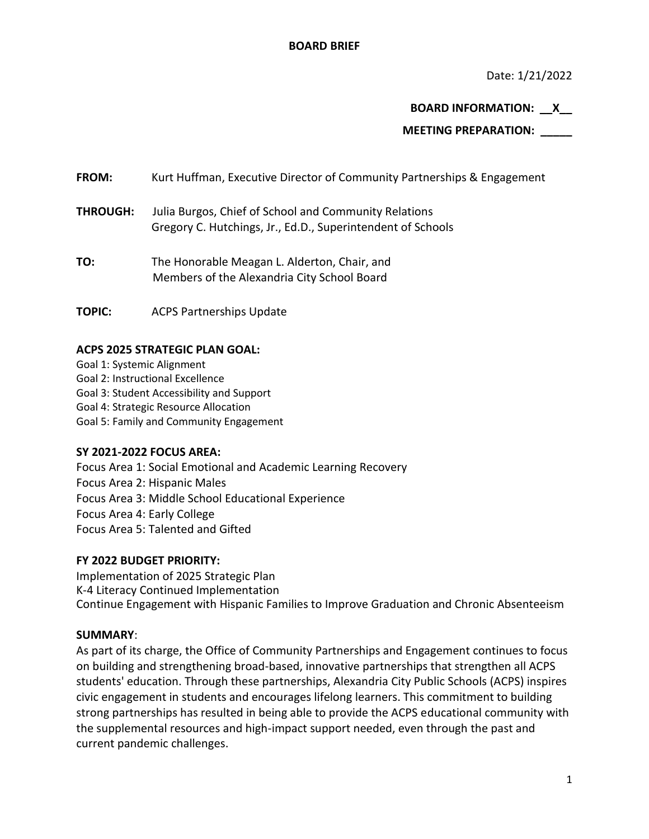Date: 1/21/2022

**BOARD INFORMATION: \_\_X\_\_**

**MEETING PREPARATION: \_\_\_\_\_**

**FROM:** Kurt Huffman, Executive Director of Community Partnerships & Engagement

- **THROUGH:** Julia Burgos, Chief of School and Community Relations Gregory C. Hutchings, Jr., Ed.D., Superintendent of Schools
- **TO:** The Honorable Meagan L. Alderton, Chair, and Members of the Alexandria City School Board
- **TOPIC:** ACPS Partnerships Update

# **ACPS 2025 STRATEGIC PLAN GOAL:**

Goal 1: Systemic Alignment Goal 2: Instructional Excellence Goal 3: Student Accessibility and Support Goal 4: Strategic Resource Allocation Goal 5: Family and Community Engagement

# **SY 2021-2022 FOCUS AREA:**

Focus Area 1: Social Emotional and Academic Learning Recovery Focus Area 2: Hispanic Males Focus Area 3: Middle School Educational Experience Focus Area 4: Early College Focus Area 5: Talented and Gifted

### **FY 2022 BUDGET PRIORITY:**

Implementation of 2025 Strategic Plan K-4 Literacy Continued Implementation Continue Engagement with Hispanic Families to Improve Graduation and Chronic Absenteeism

### **SUMMARY**:

As part of its charge, the Office of Community Partnerships and Engagement continues to focus on building and strengthening broad-based, innovative partnerships that strengthen all ACPS students' education. Through these partnerships, Alexandria City Public Schools (ACPS) inspires civic engagement in students and encourages lifelong learners. This commitment to building strong partnerships has resulted in being able to provide the ACPS educational community with the supplemental resources and high-impact support needed, even through the past and current pandemic challenges.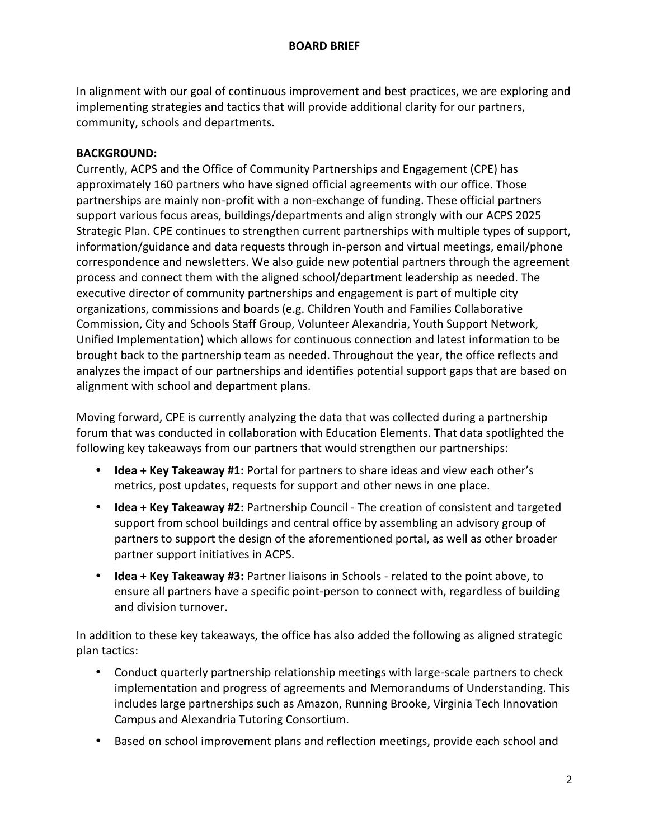In alignment with our goal of continuous improvement and best practices, we are exploring and implementing strategies and tactics that will provide additional clarity for our partners, community, schools and departments.

### **BACKGROUND:**

Currently, ACPS and the Office of Community Partnerships and Engagement (CPE) has approximately 160 partners who have signed official agreements with our office. Those partnerships are mainly non-profit with a non-exchange of funding. These official partners support various focus areas, buildings/departments and align strongly with our ACPS 2025 Strategic Plan. CPE continues to strengthen current partnerships with multiple types of support, information/guidance and data requests through in-person and virtual meetings, email/phone correspondence and newsletters. We also guide new potential partners through the agreement process and connect them with the aligned school/department leadership as needed. The executive director of community partnerships and engagement is part of multiple city organizations, commissions and boards (e.g. Children Youth and Families Collaborative Commission, City and Schools Staff Group, Volunteer Alexandria, Youth Support Network, Unified Implementation) which allows for continuous connection and latest information to be brought back to the partnership team as needed. Throughout the year, the office reflects and analyzes the impact of our partnerships and identifies potential support gaps that are based on alignment with school and department plans.

Moving forward, CPE is currently analyzing the data that was collected during a partnership forum that was conducted in collaboration with Education Elements. That data spotlighted the following key takeaways from our partners that would strengthen our partnerships:

- **Idea + Key Takeaway #1:** Portal for partners to share ideas and view each other's metrics, post updates, requests for support and other news in one place.
- **Idea + Key Takeaway #2:** Partnership Council The creation of consistent and targeted support from school buildings and central office by assembling an advisory group of partners to support the design of the aforementioned portal, as well as other broader partner support initiatives in ACPS.
- **Idea + Key Takeaway #3:** Partner liaisons in Schools related to the point above, to ensure all partners have a specific point-person to connect with, regardless of building and division turnover.

In addition to these key takeaways, the office has also added the following as aligned strategic plan tactics:

- Conduct quarterly partnership relationship meetings with large-scale partners to check implementation and progress of agreements and Memorandums of Understanding. This includes large partnerships such as Amazon, Running Brooke, Virginia Tech Innovation Campus and Alexandria Tutoring Consortium.
- Based on school improvement plans and reflection meetings, provide each school and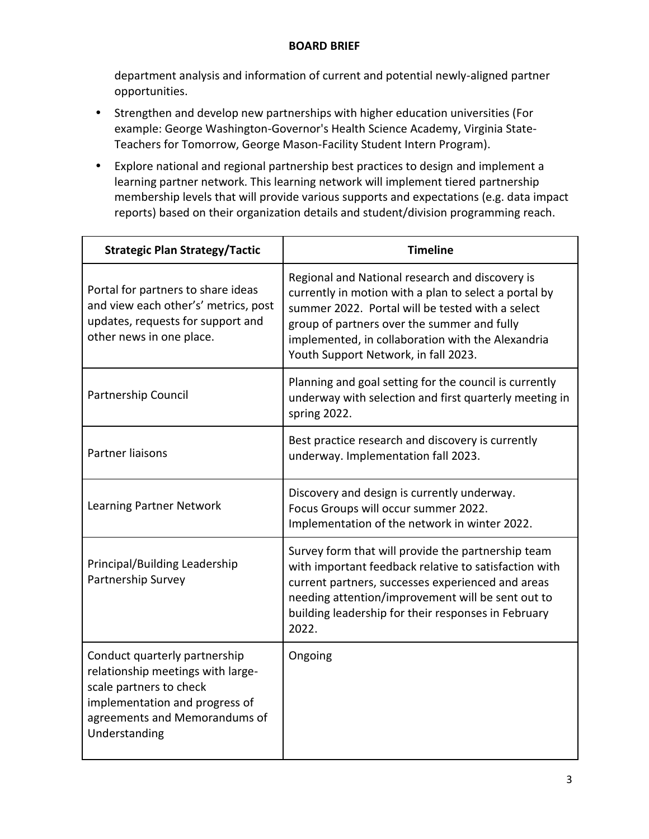## **BOARD BRIEF**

department analysis and information of current and potential newly-aligned partner opportunities.

- Strengthen and develop new partnerships with higher education universities (For example: George Washington-Governor's Health Science Academy, Virginia State-Teachers for Tomorrow, George Mason-Facility Student Intern Program).
- Explore national and regional partnership best practices to design and implement a learning partner network. This learning network will implement tiered partnership membership levels that will provide various supports and expectations (e.g. data impact reports) based on their organization details and student/division programming reach.

| <b>Strategic Plan Strategy/Tactic</b>                                                                                                                                             | <b>Timeline</b>                                                                                                                                                                                                                                                                                          |
|-----------------------------------------------------------------------------------------------------------------------------------------------------------------------------------|----------------------------------------------------------------------------------------------------------------------------------------------------------------------------------------------------------------------------------------------------------------------------------------------------------|
| Portal for partners to share ideas<br>and view each other's' metrics, post<br>updates, requests for support and<br>other news in one place.                                       | Regional and National research and discovery is<br>currently in motion with a plan to select a portal by<br>summer 2022. Portal will be tested with a select<br>group of partners over the summer and fully<br>implemented, in collaboration with the Alexandria<br>Youth Support Network, in fall 2023. |
| Partnership Council                                                                                                                                                               | Planning and goal setting for the council is currently<br>underway with selection and first quarterly meeting in<br>spring 2022.                                                                                                                                                                         |
| <b>Partner liaisons</b>                                                                                                                                                           | Best practice research and discovery is currently<br>underway. Implementation fall 2023.                                                                                                                                                                                                                 |
| Learning Partner Network                                                                                                                                                          | Discovery and design is currently underway.<br>Focus Groups will occur summer 2022.<br>Implementation of the network in winter 2022.                                                                                                                                                                     |
| Principal/Building Leadership<br>Partnership Survey                                                                                                                               | Survey form that will provide the partnership team<br>with important feedback relative to satisfaction with<br>current partners, successes experienced and areas<br>needing attention/improvement will be sent out to<br>building leadership for their responses in February<br>2022.                    |
| Conduct quarterly partnership<br>relationship meetings with large-<br>scale partners to check<br>implementation and progress of<br>agreements and Memorandums of<br>Understanding | Ongoing                                                                                                                                                                                                                                                                                                  |